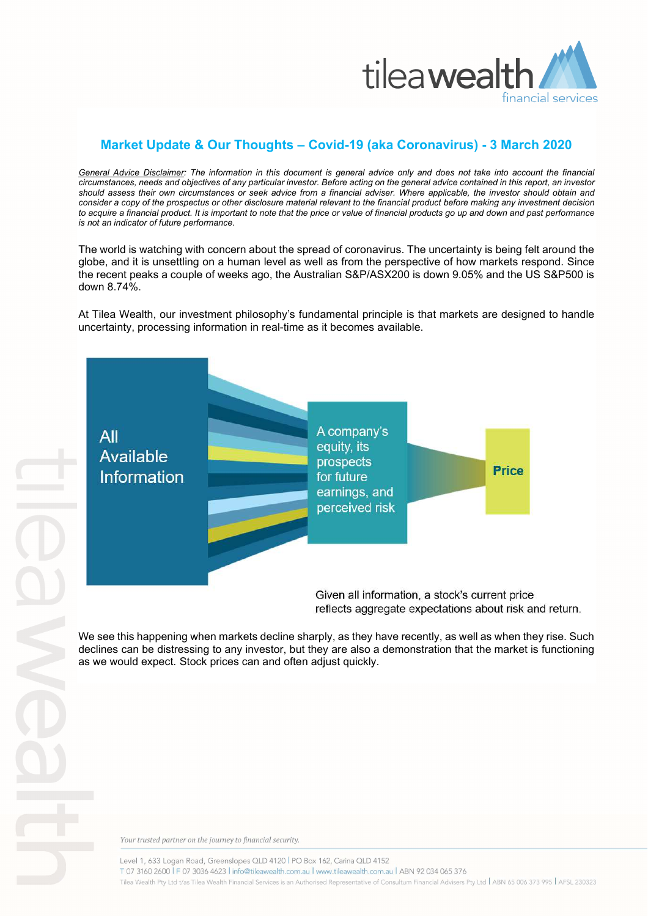

## **Market Update & Our Thoughts – Covid-19 (aka Coronavirus) - 3 March 2020**

*General Advice Disclaimer: The information in this document is general advice only and does not take into account the financial circumstances, needs and objectives of any particular investor. Before acting on the general advice contained in this report, an investor should assess their own circumstances or seek advice from a financial adviser. Where applicable, the investor should obtain and consider a copy of the prospectus or other disclosure material relevant to the financial product before making any investment decision to acquire a financial product. It is important to note that the price or value of financial products go up and down and past performance is not an indicator of future performance.* 

The world is watching with concern about the spread of coronavirus. The uncertainty is being felt around the globe, and it is unsettling on a human level as well as from the perspective of how markets respond. Since the recent peaks a couple of weeks ago, the Australian S&P/ASX200 is down 9.05% and the US S&P500 is down 8.74%.

At Tilea Wealth, our investment philosophy's fundamental principle is that markets are designed to handle uncertainty, processing information in real-time as it becomes available.



reflects aggregate expectations about risk and return.

We see this happening when markets decline sharply, as they have recently, as well as when they rise. Such declines can be distressing to any investor, but they are also a demonstration that the market is functioning as we would expect. Stock prices can and often adjust quickly.

Your trusted partner on the journey to financial security.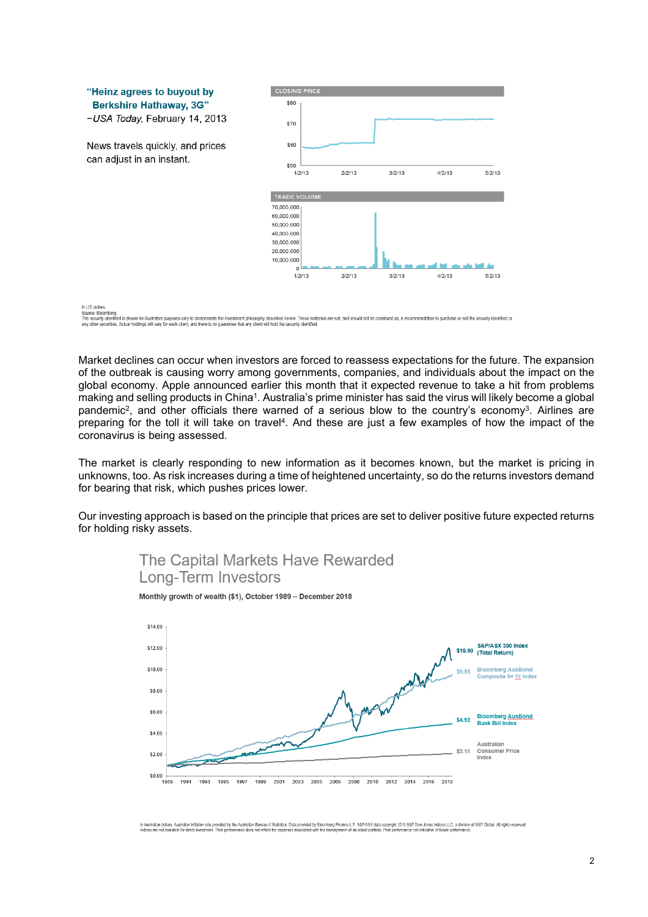

Market declines can occur when investors are forced to reassess expectations for the future. The expansion of the outbreak is causing worry among governments, companies, and individuals about the impact on the global economy. Apple announced earlier this month that it expected revenue to take a hit from problems making and selling products in China<sup>1</sup>. Australia's prime minister has said the virus will likely become a global pandemic<sup>2</sup>, and other officials there warned of a serious blow to the country's economy<sup>3</sup>. Airlines are preparing for the toll it will take on travel<sup>4</sup>. And these are just a few examples of how the impact of the coronavirus is being assessed.

The market is clearly responding to new information as it becomes known, but the market is pricing in unknowns, too. As risk increases during a time of heightened uncertainty, so do the returns investors demand for bearing that risk, which pushes prices lower.

Our investing approach is based on the principle that prices are set to deliver positive future expected returns for holding risky assets.



The Capital Markets Have Rewarded **Long-Term Investors** 

-<br>Australian dollars. Australian inflation rate provided by the Australian Bureau of Statistics. Data provided by Bloomberg Finance L.P. S&PASX data copyright 2019 S&P Dow Jones Indices LLC, a division of S&P Global. All r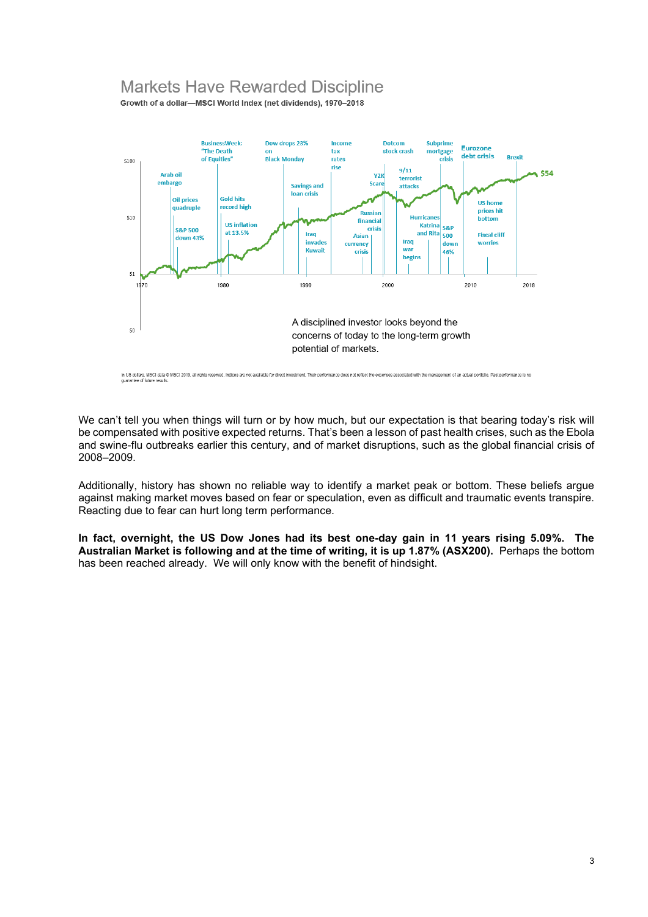## **Markets Have Rewarded Discipline**

Growth of a dollar-MSCI World Index (net dividends), 1970-2018



We can't tell you when things will turn or by how much, but our expectation is that bearing today's risk will be compensated with positive expected returns. That's been a lesson of past health crises, such as the Ebola and swine-flu outbreaks earlier this century, and of market disruptions, such as the global financial crisis of 2008–2009.

Additionally, history has shown no reliable way to identify a market peak or bottom. These beliefs argue against making market moves based on fear or speculation, even as difficult and traumatic events transpire. Reacting due to fear can hurt long term performance.

**In fact, overnight, the US Dow Jones had its best one-day gain in 11 years rising 5.09%. The Australian Market is following and at the time of writing, it is up 1.87% (ASX200).** Perhaps the bottom has been reached already. We will only know with the benefit of hindsight.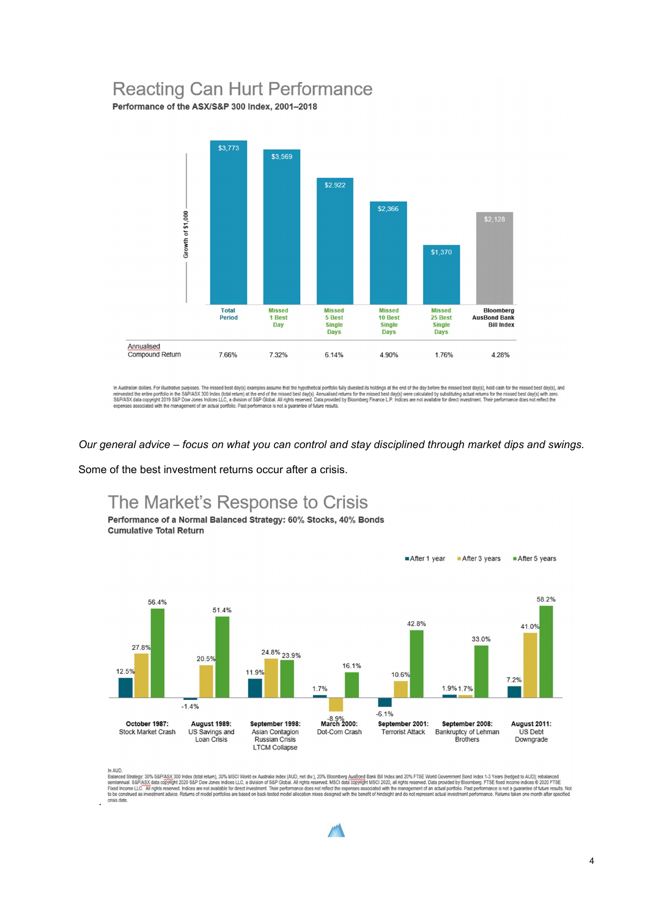## **Reacting Can Hurt Performance**

Performance of the ASX/S&P 300 Index, 2001-2018



In Australian dollars. For illustrative purposes. The missed best day(s) examples assume that the hypothetical portfolio fully divested its holdings at the end of the day before the missed best day(s), held cash for the mi

*Our general advice – focus on what you can control and stay disciplined through market dips and swings.* 

Some of the best investment returns occur after a crisis.

The Market's Response to Crisis Performance of a Normal Balanced Strategy: 60% Stocks, 40% Bonds



*.* 

In AUD.<br>Balanced Strategy: 30% S&P/ASX,300 Index (total retum), 30% MSCI World ex Australia Index (AUD, net div.), 20% Bloomberg AusBond Bank Bill Index and 20% FTSE World Government Bond Index 1-3 Years (hedged to AUD); r